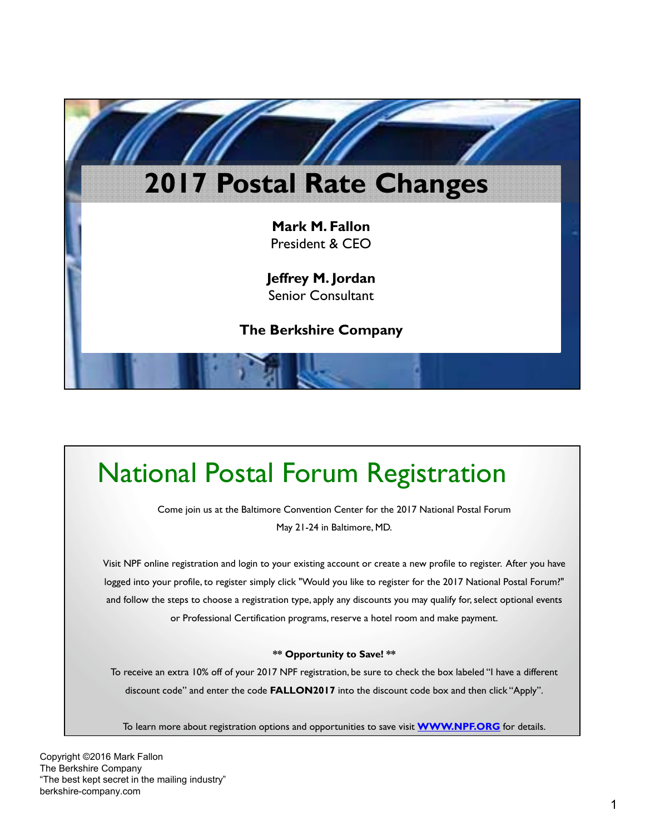### **2017 Postal Rate Changes**

**Mark M. Fallon** President & CEO

**Jeffrey M. Jordan** Senior Consultant

**The Berkshire Company**

## National Postal Forum Registration

Come join us at the Baltimore Convention Center for the 2017 National Postal Forum May 21-24 in Baltimore, MD.

Visit NPF online registration and login to your existing account or create a new profile to register. After you have logged into your profile, to register simply click "Would you like to register for the 2017 National Postal Forum?" and follow the steps to choose a registration type, apply any discounts you may qualify for, select optional events or Professional Certification programs, reserve a hotel room and make payment.

#### **\*\* Opportunity to Save! \*\***

To receive an extra 10% off of your 2017 NPF registration, be sure to check the box labeled "I have a different discount code" and enter the code **FALLON2017** into the discount code box and then click "Apply".

To learn more about registration options and opportunities to save visit **WWW.NPF.ORG** for details.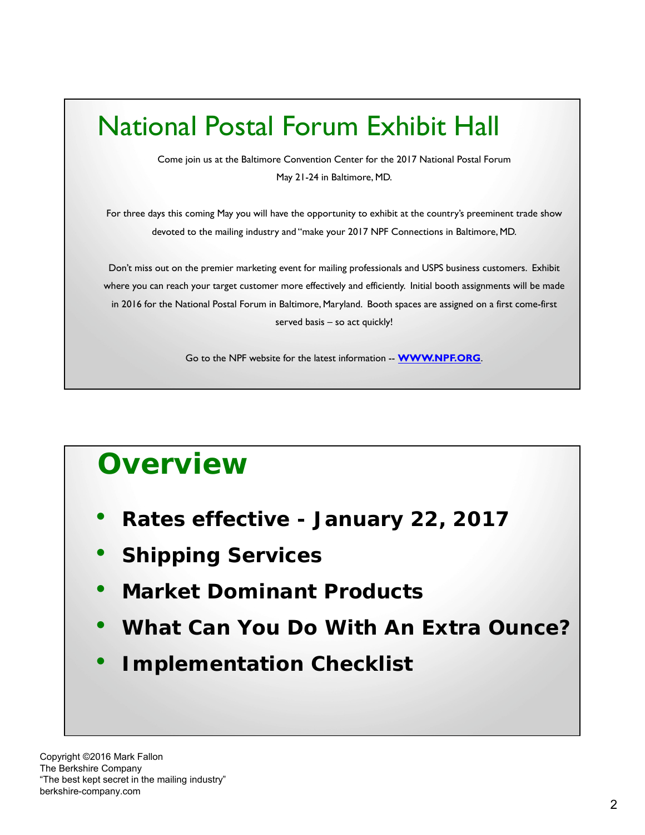

# **Overview**

- **Rates effective January 22, 2017**
- **Shipping Services**
- **Market Dominant Products**
- **What Can You Do With An Extra Ounce?**
- **Implementation Checklist**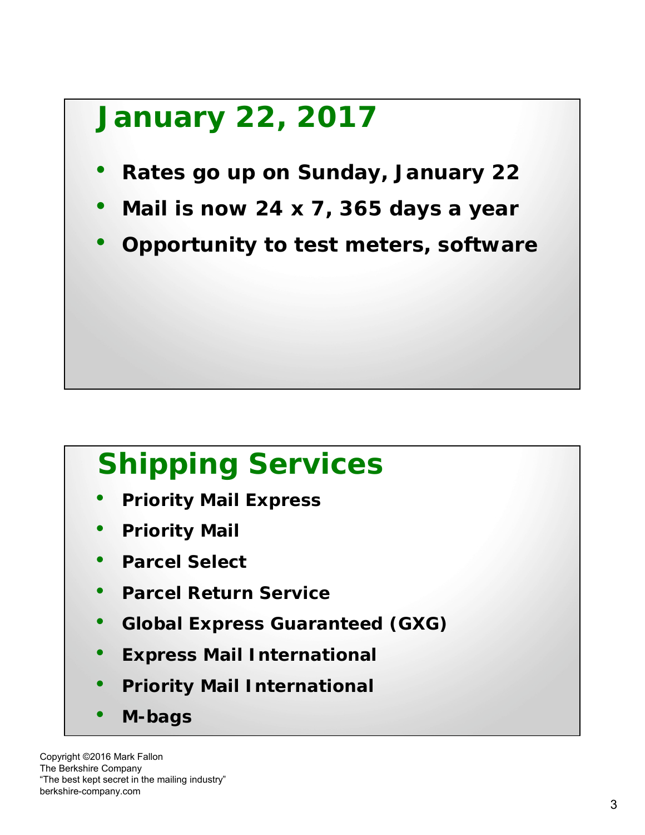## **January 22, 2017**

- **Rates go up on Sunday, January 22**
- **Mail is now 24 x 7, 365 days a year**
- **Opportunity to test meters, software**

# **Shipping Services**

- **Priority Mail Express**
- **Priority Mail**
- **Parcel Select**
- **Parcel Return Service**
- **Global Express Guaranteed (GXG)**
- **Express Mail International**
- **Priority Mail International**
- **M-bags**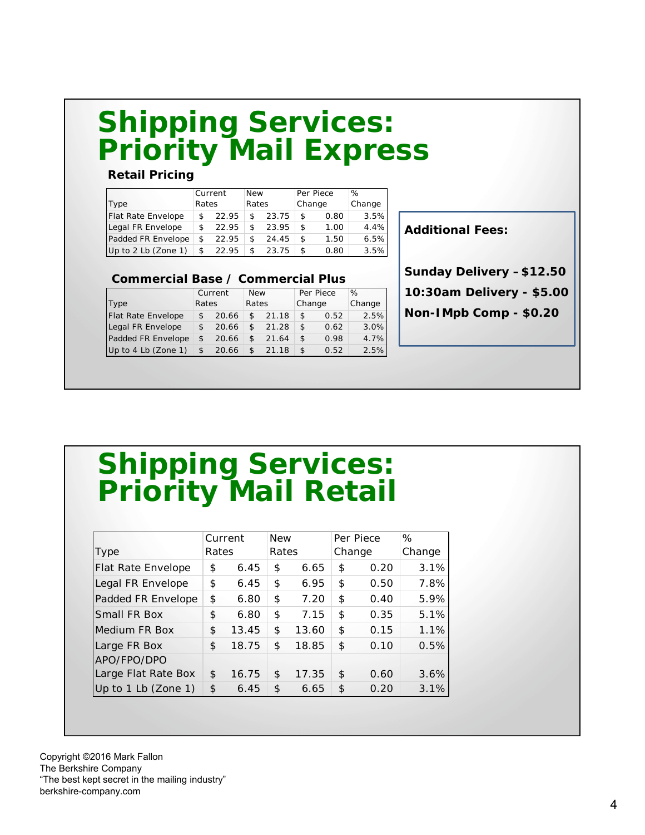# **Shipping Services: Priority Mail Express**

#### **Retail Pricing**

|                          |       | Current | <b>New</b> |       |        | Per Piece | %      |
|--------------------------|-------|---------|------------|-------|--------|-----------|--------|
| Type                     | Rates |         | Rates      |       | Change |           | Change |
| Flat Rate Envelope       | S.    | 22.95   | \$         | 23.75 | \$     | 0.80      | 3.5%   |
| Legal FR Envelope        | \$    | 22.95   | \$         | 23.95 | \$     | 1.00      | 4.4%   |
| Padded FR Envelope       | \$    | 22.95   | \$.        | 24.45 | \$     | 1.50      | 6.5%   |
| Up to $2$ Lb (Zone $1$ ) | \$    | 22.95   | \$         | 23.75 | \$     | 0.80      | 3.5%   |

**Additional Fees:**

#### **Commercial Base / Commercial Plus**

|                           |              | Current | <b>New</b>   |       | Per Piece |        | %      |
|---------------------------|--------------|---------|--------------|-------|-----------|--------|--------|
| Type                      |              | Rates   |              | Rates |           | Change | Change |
| <b>Flat Rate Envelope</b> | \$           | 20.66   | \$           | 21.18 | \$        | 0.52   | 2.5%   |
| Legal FR Envelope         | $\mathsf{S}$ | 20.66   | \$           | 21.28 | \$        | 0.62   | 3.0%   |
| Padded FR Envelope        | \$           | 20.66   | $\mathbb{S}$ | 21.64 | \$        | 0.98   | 4.7%   |
| Up to $4$ Lb (Zone 1)     | \$           | 20.66   | \$           | 21.18 |           | 0.52   | 2.5%   |

**Sunday Delivery –\$12.50 10:30am Delivery - \$5.00**

**Non-IMpb Comp - \$0.20**

## **Shipping Services: Priority Mail Retail**

|                     | Current |       | <b>New</b> |       | Per Piece |        | %      |
|---------------------|---------|-------|------------|-------|-----------|--------|--------|
| Type                |         | Rates |            | Rates |           | Change | Change |
| Flat Rate Envelope  | \$      | 6.45  | \$         | 6.65  | \$        | 0.20   | 3.1%   |
| Legal FR Envelope   | \$      | 6.45  | \$         | 6.95  | \$        | 0.50   | 7.8%   |
| Padded FR Envelope  | \$      | 6.80  | \$         | 7.20  | \$        | 0.40   | 5.9%   |
| Small FR Box        | \$      | 6.80  | \$         | 7.15  | \$        | 0.35   | 5.1%   |
| Medium FR Box       | \$      | 13.45 | \$         | 13.60 | \$        | 0.15   | 1.1%   |
| Large FR Box        | \$      | 18.75 | \$         | 18.85 | \$        | 0.10   | 0.5%   |
| APO/FPO/DPO         |         |       |            |       |           |        |        |
| Large Flat Rate Box | \$      | 16.75 | \$         | 17.35 | \$        | 0.60   | 3.6%   |
| Up to 1 Lb (Zone 1) | \$      | 6.45  | \$         | 6.65  | \$        | 0.20   | 3.1%   |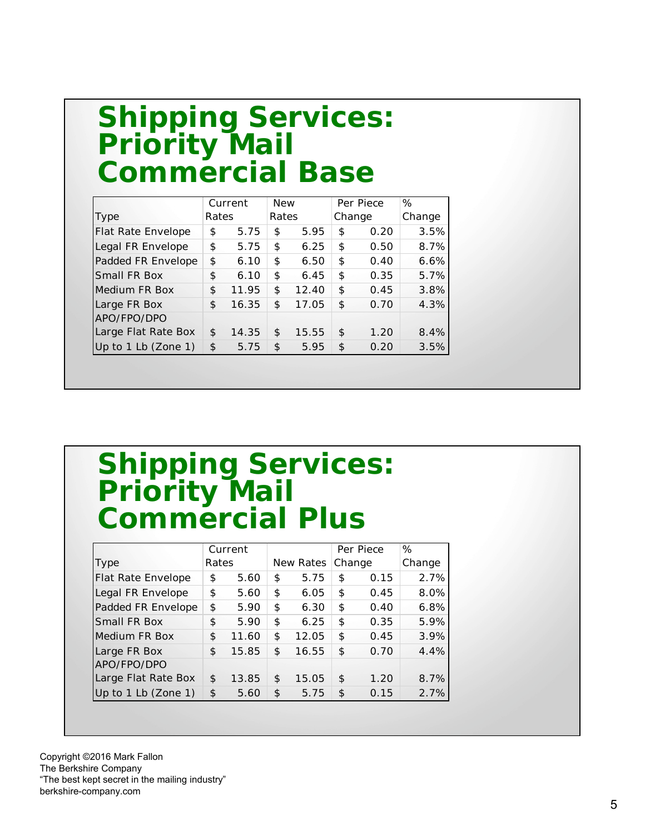## **Shipping Services: Priority Mail Commercial Base**

|                     | Current     | <b>New</b> |       | Per Piece |        | %      |
|---------------------|-------------|------------|-------|-----------|--------|--------|
| <b>Type</b>         | Rates       |            | Rates |           | Change | Change |
| Flat Rate Envelope  | \$<br>5.75  | \$         | 5.95  | \$        | 0.20   | 3.5%   |
| Legal FR Envelope   | \$<br>5.75  | \$         | 6.25  | \$        | 0.50   | 8.7%   |
| Padded FR Envelope  | \$<br>6.10  | \$         | 6.50  | \$        | 0.40   | 6.6%   |
| Small FR Box        | \$<br>6.10  | \$         | 6.45  | \$        | 0.35   | 5.7%   |
| Medium FR Box       | \$<br>11.95 | \$         | 12.40 | \$        | 0.45   | 3.8%   |
| Large FR Box        | \$<br>16.35 | \$         | 17.05 | \$        | 0.70   | 4.3%   |
| APO/FPO/DPO         |             |            |       |           |        |        |
| Large Flat Rate Box | \$<br>14.35 | \$         | 15.55 | \$        | 1.20   | 8.4%   |
| Up to 1 Lb (Zone 1) | \$<br>5.75  | \$         | 5.95  | \$        | 0.20   | 3.5%   |

#### **Shipping Services: Priority Mail Commercial Plus**

|                     | Current     |    |           | Per Piece |        | %      |
|---------------------|-------------|----|-----------|-----------|--------|--------|
| Type                | Rates       |    | New Rates |           | Change | Change |
| Flat Rate Envelope  | \$<br>5.60  | \$ | 5.75      | \$        | 0.15   | 2.7%   |
| Legal FR Envelope   | \$<br>5.60  | \$ | 6.05      | \$        | 0.45   | 8.0%   |
| Padded FR Envelope  | \$<br>5.90  | \$ | 6.30      | \$        | 0.40   | 6.8%   |
| Small FR Box        | \$<br>5.90  | \$ | 6.25      | \$        | 0.35   | 5.9%   |
| Medium FR Box       | \$<br>11.60 | \$ | 12.05     | \$        | 0.45   | 3.9%   |
| Large FR Box        | \$<br>15.85 | \$ | 16.55     | \$        | 0.70   | 4.4%   |
| APO/FPO/DPO         |             |    |           |           |        |        |
| Large Flat Rate Box | \$<br>13.85 | \$ | 15.05     | \$        | 1.20   | 8.7%   |
| Up to 1 Lb (Zone 1) | \$<br>5.60  | \$ | 5.75      | \$        | 0.15   | 2.7%   |
|                     |             |    |           |           |        |        |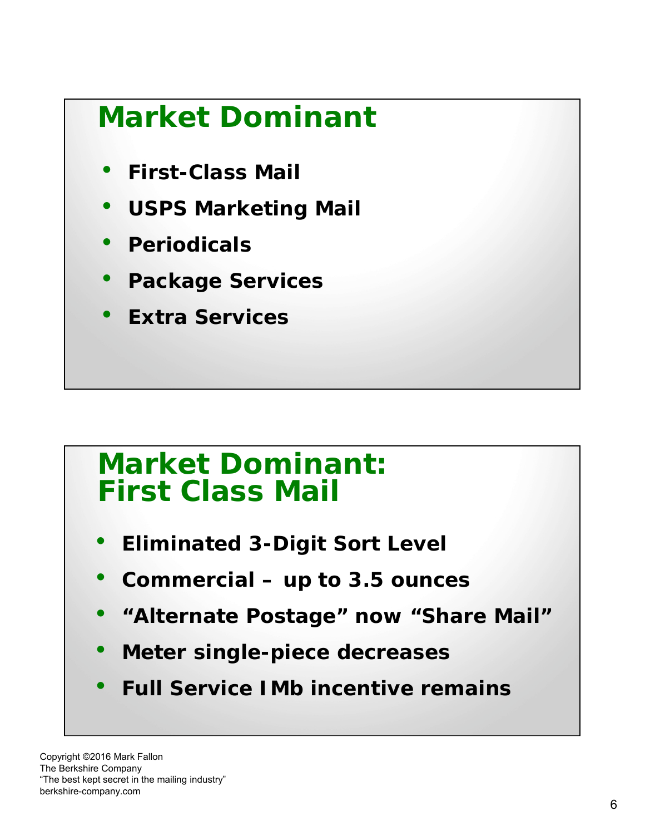## **Market Dominant**

- **First-Class Mail**
- **USPS Marketing Mail**
- **Periodicals**
- **Package Services**
- **Extra Services**

## **Market Dominant: First Class Mail**

- **Eliminated 3-Digit Sort Level**
- **Commercial up to 3.5 ounces**
- **"Alternate Postage" now "Share Mail"**
- **Meter single-piece decreases**
- **Full Service IMb incentive remains**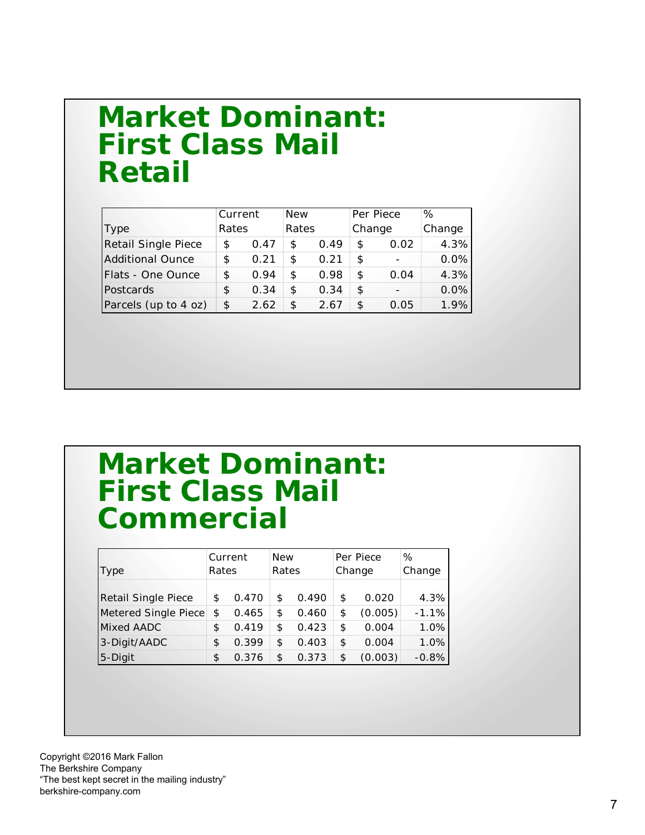### **Market Dominant: First Class Mail Retail**

|                            | Current |      | <b>New</b> |      | Per Piece |      | %       |
|----------------------------|---------|------|------------|------|-----------|------|---------|
| <b>Type</b>                | Rates   |      | Rates      |      | Change    |      | Change  |
| <b>Retail Single Piece</b> | \$      | 0.47 | S          | 0.49 | \$        | 0.02 | 4.3%    |
| Additional Ounce           | \$      | 0.21 | \$         | 0.21 | \$        |      | 0.0%    |
| Flats - One Ounce          | \$      | 0.94 | \$         | 0.98 | \$        | 0.04 | 4.3%    |
| Postcards                  | \$      | 0.34 | \$         | 0.34 | \$        |      | $0.0\%$ |
| Parcels (up to 4 oz)       | \$      | 2.62 | \$         | 2.67 | \$        | 0.05 | 1.9%    |

#### **Market Dominant: First Class Mail Commercial**

|                            | Current |       | <b>New</b>      |       | Per Piece     | %       |
|----------------------------|---------|-------|-----------------|-------|---------------|---------|
| Type                       | Rates   |       | Change<br>Rates |       | Change        |         |
|                            |         |       |                 |       |               |         |
| <b>Retail Single Piece</b> | \$      | 0.470 | \$              | 0.490 | \$<br>0.020   | 4.3%    |
| Metered Single Piece       | \$      | 0.465 | \$              | 0.460 | \$<br>(0.005) | $-1.1%$ |
| <b>Mixed AADC</b>          | \$      | 0.419 | \$              | 0.423 | \$<br>0.004   | 1.0%    |
| 3-Digit/AADC               | \$      | 0.399 | \$              | 0.403 | \$<br>0.004   | 1.0%    |
| 5-Digit                    | \$      | 0.376 | \$              | 0.373 | \$<br>(0.003) | $-0.8%$ |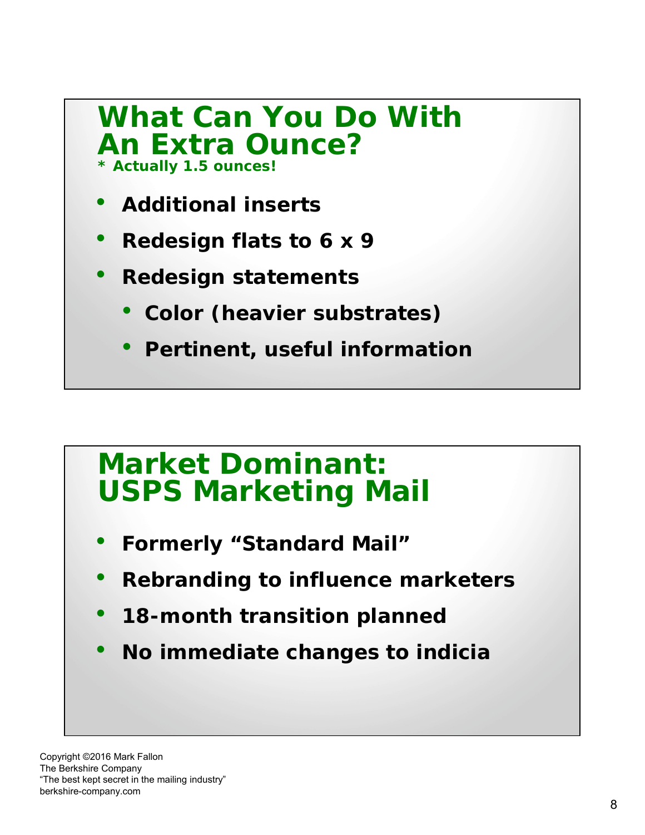

## **Market Dominant: USPS Marketing Mail**

- **Formerly "Standard Mail"**
- **Rebranding to influence marketers**
- **18-month transition planned**
- **No immediate changes to indicia**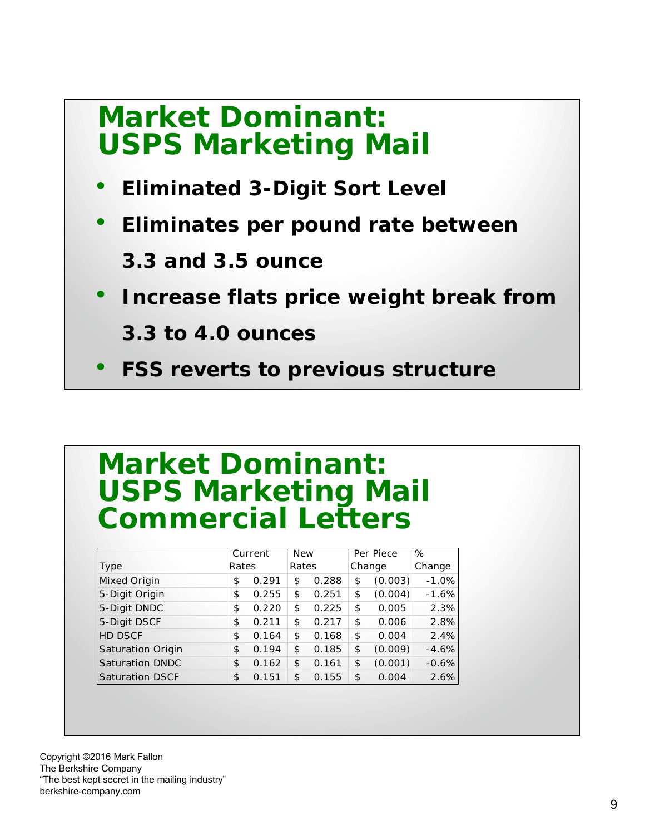## **Market Dominant: USPS Marketing Mail**

- **Eliminated 3-Digit Sort Level**
- **Eliminates per pound rate between 3.3 and 3.5 ounce**
- **Increase flats price weight break from 3.3 to 4.0 ounces**
- **FSS reverts to previous structure**

### **Market Dominant: USPS Marketing Mail Commercial Letters**

|                          | Current |       | <b>New</b> |       | Per Piece |         | %       |
|--------------------------|---------|-------|------------|-------|-----------|---------|---------|
| Type                     | Rates   |       | Rates      |       |           | Change  | Change  |
| <b>Mixed Origin</b>      | \$      | 0.291 | \$         | 0.288 | \$        | (0.003) | $-1.0%$ |
| 5-Digit Origin           | \$      | 0.255 | \$         | 0.251 | \$        | (0.004) | $-1.6%$ |
| 5-Digit DNDC             | \$      | 0.220 | \$         | 0.225 | \$        | 0.005   | 2.3%    |
| 5-Digit DSCF             | \$      | 0.211 | \$         | 0.217 | \$        | 0.006   | 2.8%    |
| <b>HD DSCF</b>           | \$      | 0.164 | \$         | 0.168 | \$        | 0.004   | 2.4%    |
| <b>Saturation Origin</b> | \$      | 0.194 | \$         | 0.185 | \$        | (0.009) | $-4.6%$ |
| <b>Saturation DNDC</b>   | \$      | 0.162 | \$         | 0.161 | \$        | (0.001) | $-0.6%$ |
| <b>Saturation DSCF</b>   | \$      | 0.151 | \$         | 0.155 | \$        | 0.004   | 2.6%    |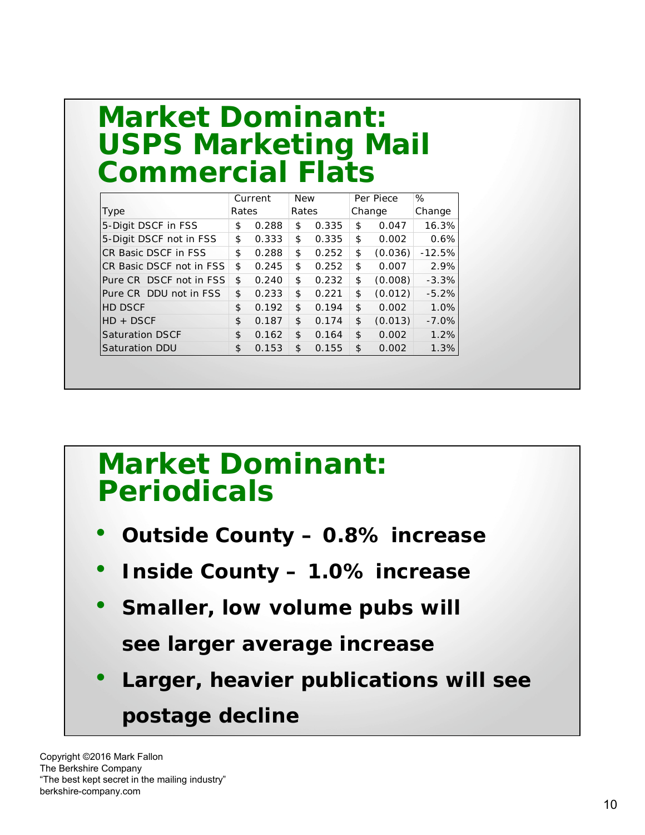## **Market Dominant: USPS Marketing Mail Commercial Flats**

|                             | Current        | <b>New</b> |       | Per Piece |         | %        |
|-----------------------------|----------------|------------|-------|-----------|---------|----------|
| Type                        | Rates<br>Rates |            |       | Change    | Change  |          |
| 5-Digit DSCF in FSS         | \$<br>0.288    | \$         | 0.335 | \$        | 0.047   | 16.3%    |
| 5-Digit DSCF not in FSS     | \$<br>0.333    | \$         | 0.335 | \$        | 0.002   | 0.6%     |
| <b>CR Basic DSCF in FSS</b> | \$<br>0.288    | \$         | 0.252 | \$        | (0.036) | $-12.5%$ |
| CR Basic DSCF not in FSS    | \$<br>0.245    | \$         | 0.252 | \$        | 0.007   | 2.9%     |
| Pure CR DSCF not in FSS     | \$<br>0.240    | \$         | 0.232 | \$        | (0.008) | $-3.3%$  |
| Pure CR DDU not in FSS      | \$<br>0.233    | \$         | 0.221 | \$        | (0.012) | $-5.2%$  |
| <b>HD DSCF</b>              | \$<br>0.192    | \$         | 0.194 | \$        | 0.002   | 1.0%     |
| $HD + DSCF$                 | \$<br>0.187    | \$         | 0.174 | \$        | (0.013) | $-7.0%$  |
| <b>Saturation DSCF</b>      | \$<br>0.162    | \$         | 0.164 | \$        | 0.002   | 1.2%     |
| <b>Saturation DDU</b>       | \$<br>0.153    | \$         | 0.155 | \$        | 0.002   | 1.3%     |
|                             |                |            |       |           |         |          |

## **Market Dominant: Periodicals**

- **Outside County 0.8% increase**
- **Inside County 1.0% increase**
- **Smaller, low volume pubs will**

**see larger average increase**

• **Larger, heavier publications will see postage decline**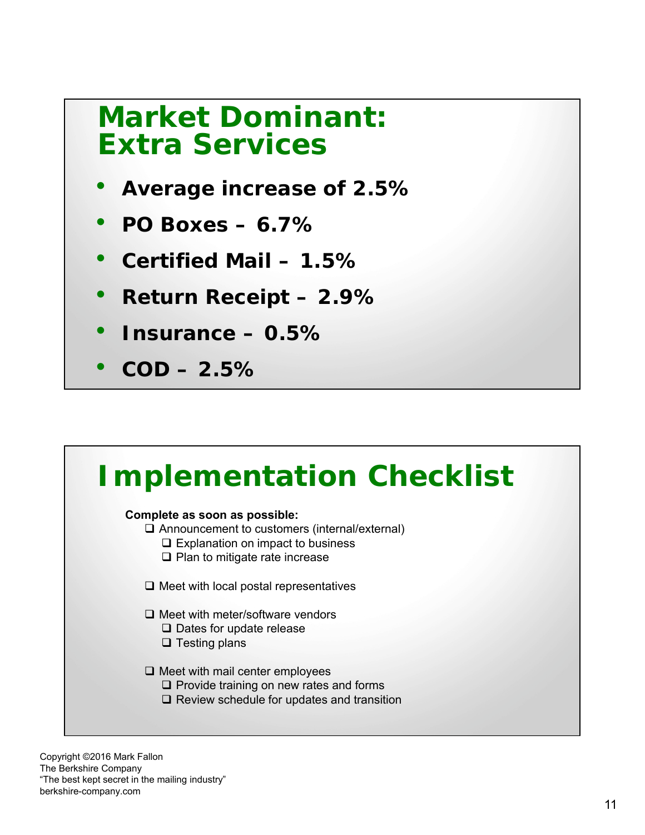## **Market Dominant: Extra Services**

- **Average increase of 2.5%**
- **PO Boxes 6.7%**
- **Certified Mail 1.5%**
- **Return Receipt 2.9%**
- **Insurance 0.5%**
- **COD 2.5%**

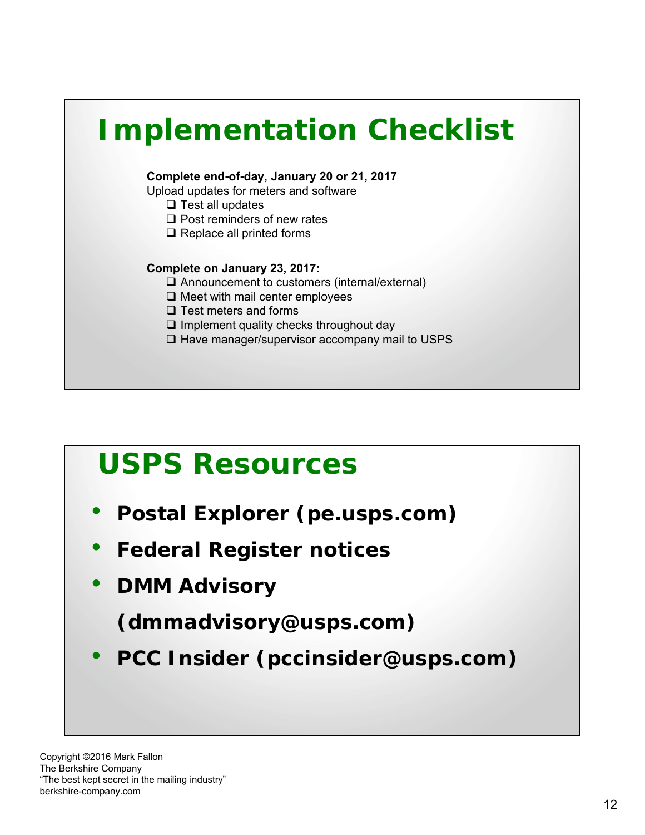

## **USPS Resources**

- **Postal Explorer (pe.usps.com)**
- **Federal Register notices**
- **DMM Advisory**

**(dmmadvisory@usps.com)**

• **PCC Insider (pccinsider@usps.com)**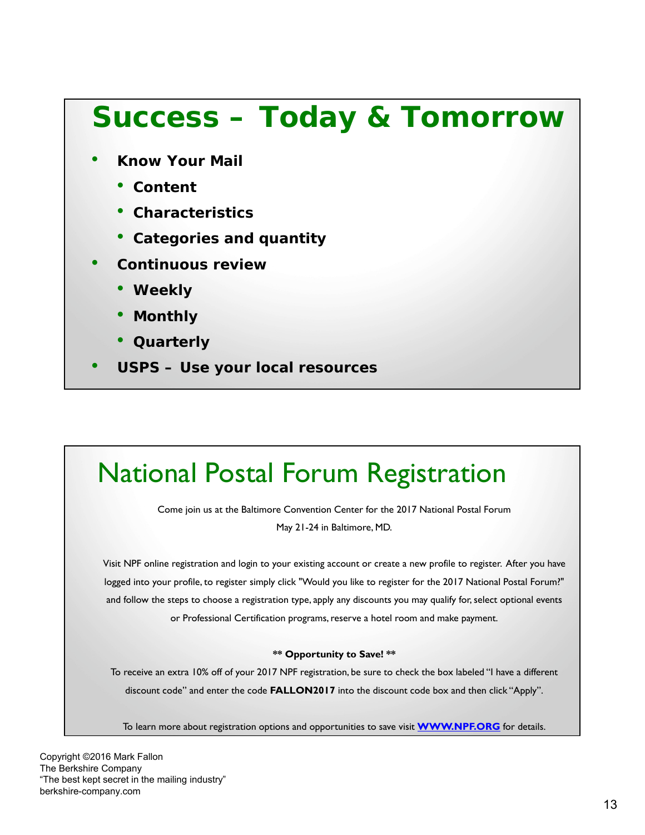## **Success – Today & Tomorrow**

- **Know Your Mail**
	- **Content**
	- **Characteristics**
	- **Categories and quantity**
- **Continuous review**
	- **Weekly**
	- **Monthly**
	- **Quarterly**
- **USPS Use your local resources**

#### National Postal Forum Registration

Come join us at the Baltimore Convention Center for the 2017 National Postal Forum May 21-24 in Baltimore, MD.

Visit NPF online registration and login to your existing account or create a new profile to register. After you have logged into your profile, to register simply click "Would you like to register for the 2017 National Postal Forum?" and follow the steps to choose a registration type, apply any discounts you may qualify for, select optional events or Professional Certification programs, reserve a hotel room and make payment.

#### **\*\* Opportunity to Save! \*\***

To receive an extra 10% off of your 2017 NPF registration, be sure to check the box labeled "I have a different discount code" and enter the code **FALLON2017** into the discount code box and then click "Apply".

To learn more about registration options and opportunities to save visit **WWW.NPF.ORG** for details.